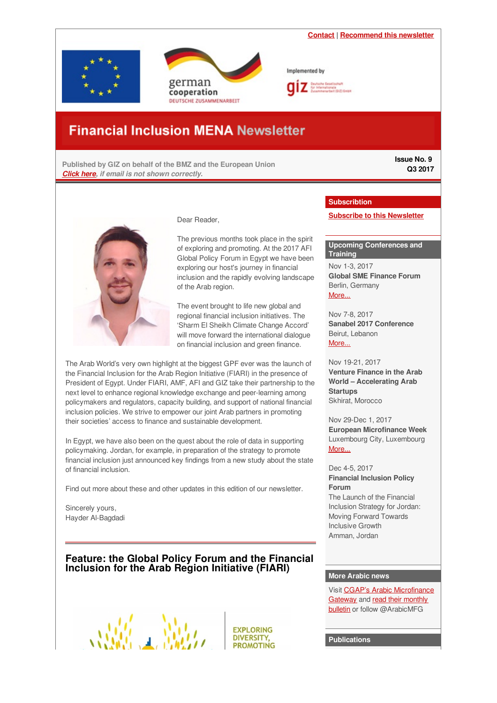<span id="page-0-0"></span>



Implemented by

# **Financial Inclusion MENA Newsletter**

**Published by GIZ on behalf of the BMZ and the European Union** *[Click](http://microfinance-mena.org/wp-content/uploads/2017/07/Newsletter-Issue-9.pdf) here, if email is not shown correctly.*

**Issue No. 9 Q3 2017**



Dear Reader,

The previous months took place in the spirit of exploring and promoting. At the 2017 AFI Global Policy Forum in Egypt we have been exploring our host's journey in financial inclusion and the rapidly evolving landscape of the Arab region.

The event brought to life new global and regional financial inclusion initiatives. The 'Sharm El Sheikh Climate Change Accord' will move forward the international dialogue on financial inclusion and green finance.

The Arab World's very own highlight at the biggest GPF ever was the launch of the Financial Inclusion for the Arab Region Initiative (FIARI) in the presence of President of Egypt. Under FIARI, AMF, AFI and GIZ take their partnership to the next level to enhance regional knowledge exchange and peer-learning among policymakers and regulators, capacity building, and support of national financial inclusion policies. We strive to empower our joint Arab partners in promoting their societies' access to finance and sustainable development.

In Egypt, we have also been on the quest about the role of data in supporting policymaking. Jordan, for example, in preparation of the strategy to promote financial inclusion just announced key findings from a new study about the state of financial inclusion.

Find out more about these and other updates in this edition of our newsletter.

Sincerely yours, Hayder Al-Bagdadi

# **Feature: the Global Policy Forum and the Financial Inclusion for the Arab Region Initiative (FIARI)**

**EXPLORING DIVERSITY. PROMOTING** 

#### **Subscribtion**

**Subscribe to this [Newsletter](mailto:financialinclusion-mena@giz.de?Subject=Subscribtion%3A Financial Inclusion MENA newsletter&Body=Dear GIZ team%2C %0A%0AI would like to subscribe to your quarterly %27Financial Inclusion MENA%27 newsletter.%0A%0AKind regards%0A)**

#### **Upcoming Conferences and Training**

Nov 1-3, 2017 **Global SME Finance Forum** Berlin, Germany [More...](http://www.globalsmefinanceforum.org/2017/)

Nov 7-8, 2017 **Sanabel 2017 Conference** Beirut, Lebanon [More...](http://www.sanabelconf.org/)

Nov 19-21, 2017 **Venture Finance in the Arab World – Accelerating Arab Startups** Skhirat, Morocco

Nov 29-Dec 1, 2017 **European Microfinance Week** Luxembourg City, Luxembourg [More...](http://www.e-mfp.eu/microfinance-week)

#### Dec 4-5, 2017 **Financial Inclusion Policy Forum** The Launch of the Financial Inclusion Strategy for Jordan:

Moving Forward Towards Inclusive Growth Amman, Jordan

#### **More Arabic news**

Visit CGAP's Arabic [Microfinance](https://www.microfinancegateway.org/ar) Gateway and read their monthly bulletin or follow [@ArabicMFG](https://www.microfinancegateway.org/ar/bulletin)

**Publications**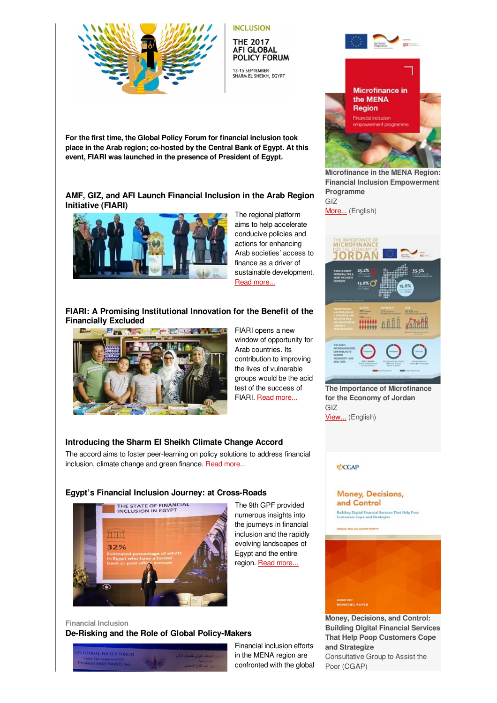

**INCLUSION THE 2017** 

**AFI GLOBAL** POLICY FORUM

13-15 SEPTEMBER<br>SHARM EL SHEIKH, EGYPT

**For the first time, the Global Policy Forum for financial inclusion took place in the Arab region; co-hosted by the Central Bank of Egypt. At this event, FIARI was launched in the presence of President of Egypt.**

# **AMF, GIZ, and AFI Launch Financial Inclusion in the Arab Region Initiative (FIARI)**



The regional platform aims to help accelerate conducive policies and actions for enhancing Arab societies' access to finance as a driver of sustainable development. Read [more...](https://login.mailingwork.de/-link2/1593/3695/145/0/120623/sMLFGPjR/PwXzjnpREL/0)

# **FIARI: A Promising Institutional Innovation for the Benefit of the Financially Excluded**



FIARI opens a new window of opportunity for Arab countries. Its contribution to improving the lives of vulnerable groups would be the acid test of the success of FIARI. Read [more...](https://login.mailingwork.de/-link2/1593/3695/83/0/120623/sMLFGPjR/PwXzjnpREL/0)

The 9th GPF provided numerous insights into the journeys in financial inclusion and the rapidly evolving landscapes of Egypt and the entire region. Read [more...](https://login.mailingwork.de/-link2/1593/3695/139/0/120623/sMLFGPjR/PwXzjnpREL/0)

# **Introducing the Sharm El Sheikh Climate Change Accord**

The accord aims to foster peer-learning on policy solutions to address financial inclusion, climate change and green finance. Read [more...](https://login.mailingwork.de/-link2/1593/3695/85/0/120623/sMLFGPjR/PwXzjnpREL/0)

# **Egypt's Financial Inclusion Journey: at Cross-Roads**



**Financial Inclusion De-Risking and the Role of Global Policy-Makers**



Financial inclusion efforts in the MENA region are confronted with the global





**Microfinance in the MENA Region: Financial Inclusion Empowerment Programme** GIZ

[More...](http://microfinance-mena.org/wp-content/uploads/2017/08/20170824-EU-GIZ-Jordan-Microfinance-in-the-MENA-Region-Final.pdf) (English)



**The Importance of [Microfinance](http://microfinance-mena.org/wp-content/uploads/2017/08/20170825-MF-in-Jordan-Infograph.jpg) for the Economy of Jordan** GIZ [View...](http://microfinance-mena.org/wp-content/uploads/2017/08/20170825-MF-in-Jordan-Infograph.jpg) (English)

# **ØCGAP**

Money, Decisions, and Control Building Digital Financial Services That Help Poor<br>Customers Cope and Strategize



**Money, [Decisions,](http://www.cgap.org/sites/default/files/Working-Paper-Money-Decisions-and-Control-Aug-2017.pdf) and Control: Building Digital Financial Services That Help Poop Customers Cope and Strategize** Consultative Group to Assist the Poor (CGAP)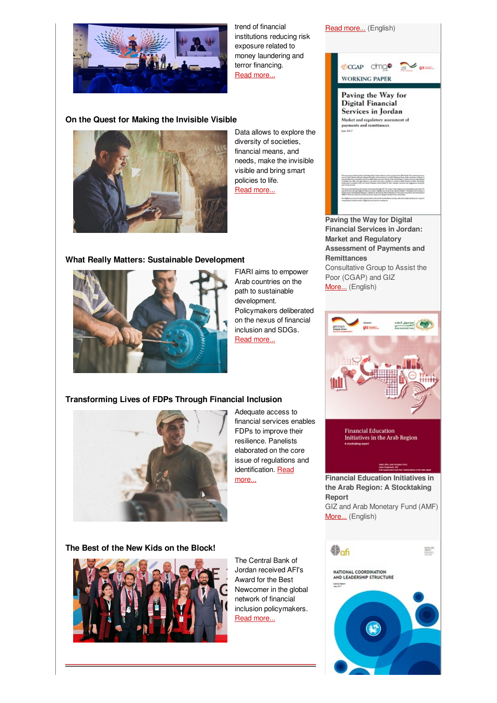

trend of financial institutions reducing risk exposure related to money laundering and terror financing. Read [more...](https://login.mailingwork.de/-link2/1593/3695/251/0/120623/sMLFGPjR/PwXzjnpREL/0)

#### **On the Quest for Making the Invisible Visible**



Data allows to explore the diversity of societies, financial means, and needs, make the invisible visible and bring smart policies to life. Read [more...](https://login.mailingwork.de/-link2/1593/3695/127/0/120623/sMLFGPjR/PwXzjnpREL/0)

#### **What Really Matters: Sustainable Development**



FIARI aims to empower Arab countries on the path to sustainable development. Policymakers deliberated on the nexus of financial inclusion and SDGs. Read [more...](https://login.mailingwork.de/-link2/1593/3695/243/0/120623/sMLFGPjR/PwXzjnpREL/0)

### **Transforming Lives of FDPs Through Financial Inclusion**



Adequate access to financial services enables FDPs to improve their resilience. Panelists elaborated on the core issue of regulations and [identification.](https://login.mailingwork.de/-link2/1593/3695/245/0/120623/sMLFGPjR/PwXzjnpREL/0) Read more...

#### **The Best of the New Kids on the Block!**



The Central Bank of Jordan received AFI's Award for the Best Newcomer in the global network of financial inclusion policymakers. Read [more...](https://login.mailingwork.de/-link2/1593/3695/87/0/120623/sMLFGPjR/PwXzjnpREL/0)



**Paving the Way for Digital Financial Services in Jordan: Market and Regulatory Assessment of Payments and Remittances** Consultative Group to Assist the Poor (CGAP) and GIZ [More...](http://www.cgap.org/sites/default/files/Working-Paper-Paving-the-Way-for-Digital-Financial-Services-in-Jordan-Aug-2017.pdf) (English)



**Financial Education** Initiatives in the Arab Region

**Financial Education Initiatives in the Arab Region: A Stocktaking Report** GIZ and Arab Monetary Fund (AMF) [More...](http://www.amf.org.ae/sites/default/files/Studie_Arab.Region_190417_v5-FINAL.pdf) (English)

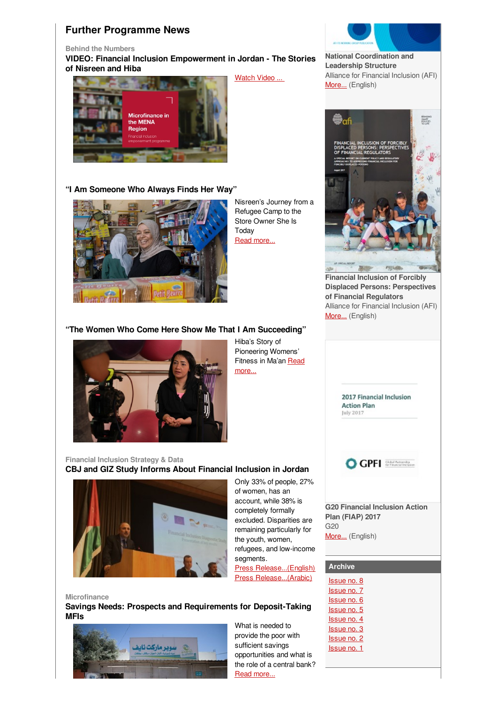# **Further Programme News**

**Behind the Numbers**

**VIDEO: Financial Inclusion Empowerment in Jordan - The Stories of Nisreen and Hiba**

[Watch](https://www.youtube.com/watch?v=ywk9I7mjCK4&feature=youtu.be) Video ...



#### **"I Am Someone Who Always Finds Her Way"**



Nisreen's Journey from a Refugee Camp to the Store Owner She Is Today Read [more...](https://login.mailingwork.de/-link2/1593/3695/133/0/120623/sMLFGPjR/PwXzjnpREL/0)

# **"The Women Who Come Here Show Me That I Am Succeeding"**



Hiba's Story of Pioneering Womens' [Fitness](https://login.mailingwork.de/-link2/1593/3695/135/0/120623/sMLFGPjR/PwXzjnpREL/0) in Ma'an Read more...

#### **Financial Inclusion Strategy & Data CBJ and GIZ Study Informs About Financial Inclusion in Jordan**



Only 33% of people, 27% of women, has an account, while 38% is completely formally excluded. Disparities are remaining particularly for the youth, women, refugees, and low-income segments. Press [Release...\(English\)](http://microfinance-mena.org/news/press-release-cbj-and-giz-study-informs-about-financial-inclusion-in-jordan-gaps-for-the-majority-and-vulnerable-groups/)

Press [Release...\(Arabic\)](http://www.petra.gov.jo/public_news/Nws_NewsDetails.aspx?Menu_ID=&Site_Id=2&lang=1&NewsID=321784&CatID=18)

**Microfinance Savings Needs: Prospects and Requirements for Deposit-Taking MFIs**



What is needed to provide the poor with sufficient savings opportunities and what is the role of a central bank? Read [more...](https://login.mailingwork.de/-link2/1593/3695/253/0/120623/sMLFGPjR/PwXzjnpREL/0)



**National [Coordination](https://www.afi-global.org/sites/default/files/publications/2017-07/AFI_FIS_leadership survey_AW_digital.pdf) and Leadership Structure** Alliance for Financial Inclusion (AFI) [More...](https://www.afi-global.org/sites/default/files/publications/2017-07/AFI_FIS_leadership survey_AW_digital.pdf) (English)



**Financial [Inclusion](https://www.afi-global.org/sites/default/files/publications/2017-07/AFI_displaced persons_AW_digital_0.pdf) of Forcibly Displaced Persons: Perspectives of Financial Regulators** Alliance for Financial Inclusion (AFI) [More...](https://www.afi-global.org/sites/default/files/publications/2017-07/AFI_displaced persons_AW_digital_0.pdf) (English)



### **Archive**

| <b>Issue no. 8</b> |
|--------------------|
| <b>Issue no. 7</b> |
| Issue no. 6        |
| Issue no. 5        |
| <b>Issue no. 4</b> |
| Issue no. 3        |
| Issue no. 2        |
| Issue no. 1        |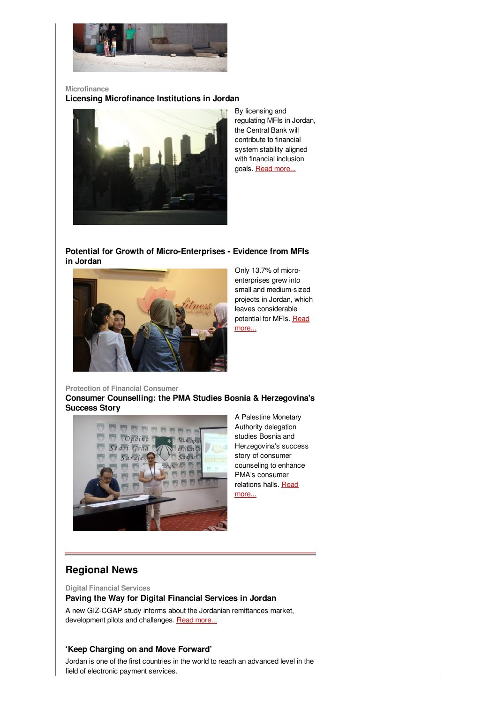

**Microfinance Licensing Microfinance Institutions in Jordan**



By licensing and regulating MFIs in Jordan, the Central Bank will contribute to financial system stability aligned with financial inclusion goals. Read [more...](https://login.mailingwork.de/-link2/1593/3695/255/0/120623/sMLFGPjR/PwXzjnpREL/0)

**Potential for Growth of Micro-Enterprises - Evidence from MFIs in Jordan**



Only 13.7% of microenterprises grew into small and medium-sized projects in Jordan, which leaves considerable [potential](https://login.mailingwork.de/-link2/1593/3695/129/0/120623/sMLFGPjR/PwXzjnpREL/0) for MFIs. Read more...

**Protection of Financial Consumer Consumer Counselling: the PMA Studies Bosnia & Herzegovina's Success Story**



A Palestine Monetary Authority delegation studies Bosnia and Herzegovina's success story of consumer counseling to enhance PMA's consumer [relations](https://login.mailingwork.de/-link2/1593/3695/91/0/120623/sMLFGPjR/PwXzjnpREL/0) halls. Read more...

# **Regional News**

**Digital Financial Services**

**Paving the Way for Digital Financial Services in Jordan**

A new GIZ-CGAP study informs about the Jordanian remittances market, development pilots and challenges. Read [more...](https://login.mailingwork.de/-link2/1593/3695/89/0/120623/sMLFGPjR/PwXzjnpREL/0)

### **'Keep Charging on and Move Forward'**

Jordan is one of the first countries in the world to reach an advanced level in the field of electronic payment services.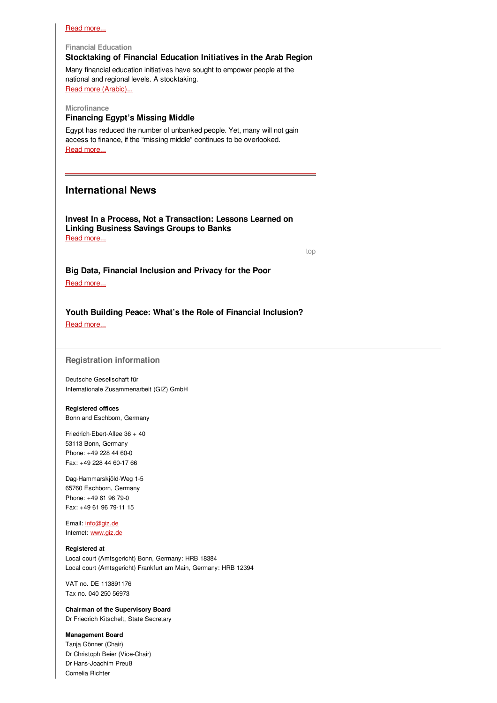